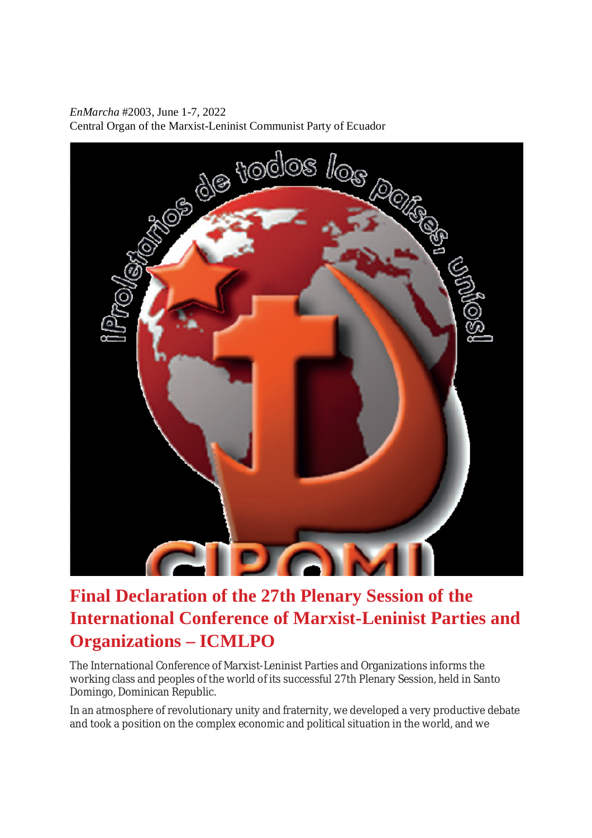*EnMarcha* #2003, June 1-7, 2022 Central Organ of the Marxist-Leninist Communist Party of Ecuador



## **Final Declaration of the 27th Plenary Session of the International Conference of Marxist-Leninist Parties and Organizations – ICMLPO**

The International Conference of Marxist-Leninist Parties and Organizations informs the working class and peoples of the world of its successful 27th Plenary Session, held in Santo Domingo, Dominican Republic.

In an atmosphere of revolutionary unity and fraternity, we developed a very productive debate and took a position on the complex economic and political situation in the world, and we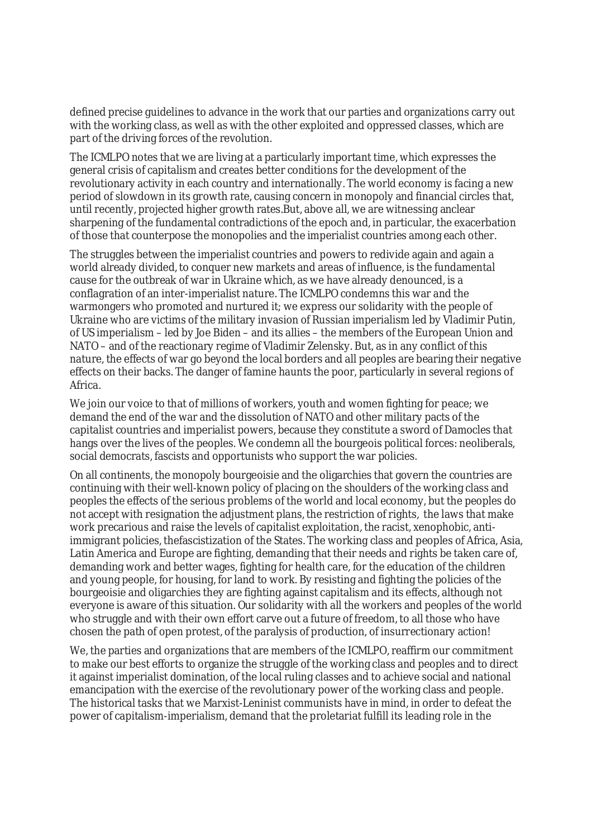defined precise guidelines to advance in the work that our parties and organizations carry out with the working class, as well as with the other exploited and oppressed classes, which are part of the driving forces of the revolution.

The ICMLPO notes that we are living at a particularly important time, which expresses the general crisis of capitalism and creates better conditions for the development of the revolutionary activity in each country and internationally. The world economy is facing a new period of slowdown in its growth rate, causing concern in monopoly and financial circles that, until recently, projected higher growth rates.But, above all, we are witnessing anclear sharpening of the fundamental contradictions of the epoch and, in particular, the exacerbation of those that counterpose the monopolies and the imperialist countries among each other.

The struggles between the imperialist countries and powers to redivide again and again a world already divided, to conquer new markets and areas of influence, is the fundamental cause for the outbreak of war in Ukraine which, as we have already denounced, is a conflagration of an inter-imperialist nature. The ICMLPO condemns this war and the warmongers who promoted and nurtured it; we express our solidarity with the people of Ukraine who are victims of the military invasion of Russian imperialism led by Vladimir Putin, of US imperialism – led by Joe Biden – and its allies – the members of the European Union and NATO – and of the reactionary regime of Vladimir Zelensky. But, as in any conflict of this nature, the effects of war go beyond the local borders and all peoples are bearing their negative effects on their backs. The danger of famine haunts the poor, particularly in several regions of Africa.

We join our voice to that of millions of workers, youth and women fighting for peace; we demand the end of the war and the dissolution of NATO and other military pacts of the capitalist countries and imperialist powers, because they constitute a sword of Damocles that hangs over the lives of the peoples. We condemn all the bourgeois political forces: neoliberals, social democrats, fascists and opportunists who support the war policies.

On all continents, the monopoly bourgeoisie and the oligarchies that govern the countries are continuing with their well-known policy of placing on the shoulders of the working class and peoples the effects of the serious problems of the world and local economy, but the peoples do not accept with resignation the adjustment plans, the restriction of rights, the laws that make work precarious and raise the levels of capitalist exploitation, the racist, xenophobic, antiimmigrant policies, thefascistization of the States. The working class and peoples of Africa, Asia, Latin America and Europe are fighting, demanding that their needs and rights be taken care of, demanding work and better wages, fighting for health care, for the education of the children and young people, for housing, for land to work. By resisting and fighting the policies of the bourgeoisie and oligarchies they are fighting against capitalism and its effects, although not everyone is aware of this situation. Our solidarity with all the workers and peoples of the world who struggle and with their own effort carve out a future of freedom, to all those who have chosen the path of open protest, of the paralysis of production, of insurrectionary action!

We, the parties and organizations that are members of the ICMLPO, reaffirm our commitment to make our best efforts to organize the struggle of the working class and peoples and to direct it against imperialist domination, of the local ruling classes and to achieve social and national emancipation with the exercise of the revolutionary power of the working class and people. The historical tasks that we Marxist-Leninist communists have in mind, in order to defeat the power of capitalism-imperialism, demand that the proletariat fulfill its leading role in the